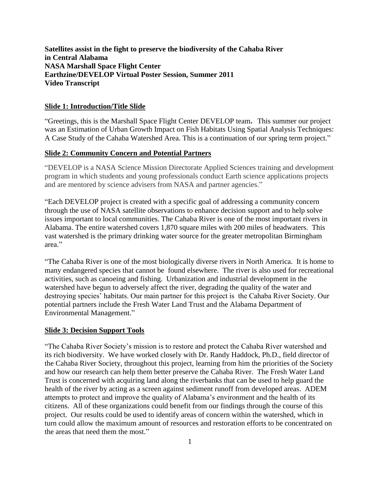**Satellites assist in the fight to preserve the biodiversity of the Cahaba River in Central Alabama NASA Marshall Space Flight Center Earthzine/DEVELOP Virtual Poster Session, Summer 2011 Video Transcript**

### **Slide 1: Introduction/Title Slide**

"Greetings, this is the Marshall Space Flight Center DEVELOP team**.** This summer our project was an Estimation of Urban Growth Impact on Fish Habitats Using Spatial Analysis Techniques: A Case Study of the Cahaba Watershed Area. This is a continuation of our spring term project."

## **Slide 2: Community Concern and Potential Partners**

"DEVELOP is a NASA Science Mission Directorate Applied Sciences training and development program in which students and young professionals conduct Earth science applications projects and are mentored by science advisers from NASA and partner agencies."

"Each DEVELOP project is created with a specific goal of addressing a community concern through the use of NASA satellite observations to enhance decision support and to help solve issues important to local communities. The Cahaba River is one of the most important rivers in Alabama. The entire watershed covers 1,870 square miles with 200 miles of headwaters. This vast watershed is the primary drinking water source for the greater metropolitan Birmingham area."

"The Cahaba River is one of the most biologically diverse rivers in North America. It is home to many endangered species that cannot be found elsewhere. The river is also used for recreational activities, such as canoeing and fishing. Urbanization and industrial development in the watershed have begun to adversely affect the river, degrading the quality of the water and destroying species' habitats. Our main partner for this project is the Cahaba River Society. Our potential partners include the Fresh Water Land Trust and the Alabama Department of Environmental Management."

#### **Slide 3: Decision Support Tools**

"The Cahaba River Society's mission is to restore and protect the Cahaba River watershed and its rich biodiversity. We have worked closely with Dr. Randy Haddock, Ph.D., field director of the Cahaba River Society, throughout this project, learning from him the priorities of the Society and how our research can help them better preserve the Cahaba River. The Fresh Water Land Trust is concerned with acquiring land along the riverbanks that can be used to help guard the health of the river by acting as a screen against sediment runoff from developed areas. ADEM attempts to protect and improve the quality of Alabama's environment and the health of its citizens. All of these organizations could benefit from our findings through the course of this project. Our results could be used to identify areas of concern within the watershed, which in turn could allow the maximum amount of resources and restoration efforts to be concentrated on the areas that need them the most."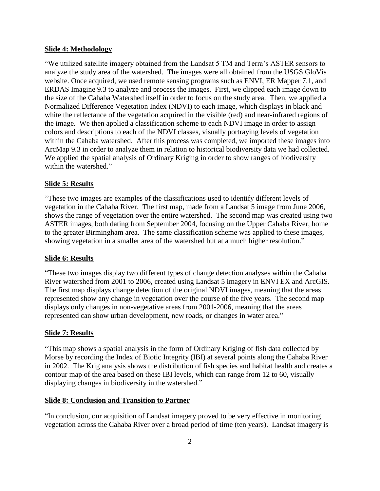### **Slide 4: Methodology**

"We utilized satellite imagery obtained from the Landsat 5 TM and Terra's ASTER sensors to analyze the study area of the watershed. The images were all obtained from the USGS GloVis website. Once acquired, we used remote sensing programs such as ENVI, ER Mapper 7.1, and ERDAS Imagine 9.3 to analyze and process the images. First, we clipped each image down to the size of the Cahaba Watershed itself in order to focus on the study area. Then, we applied a Normalized Difference Vegetation Index (NDVI) to each image, which displays in black and white the reflectance of the vegetation acquired in the visible (red) and near-infrared regions of the image. We then applied a classification scheme to each NDVI image in order to assign colors and descriptions to each of the NDVI classes, visually portraying levels of vegetation within the Cahaba watershed. After this process was completed, we imported these images into ArcMap 9.3 in order to analyze them in relation to historical biodiversity data we had collected. We applied the spatial analysis of Ordinary Kriging in order to show ranges of biodiversity within the watershed."

# **Slide 5: Results**

"These two images are examples of the classifications used to identify different levels of vegetation in the Cahaba River. The first map, made from a Landsat 5 image from June 2006, shows the range of vegetation over the entire watershed. The second map was created using two ASTER images, both dating from September 2004, focusing on the Upper Cahaba River, home to the greater Birmingham area. The same classification scheme was applied to these images, showing vegetation in a smaller area of the watershed but at a much higher resolution."

#### **Slide 6: Results**

"These two images display two different types of change detection analyses within the Cahaba River watershed from 2001 to 2006, created using Landsat 5 imagery in ENVI EX and ArcGIS. The first map displays change detection of the original NDVI images, meaning that the areas represented show any change in vegetation over the course of the five years. The second map displays only changes in non-vegetative areas from 2001-2006, meaning that the areas represented can show urban development, new roads, or changes in water area."

### **Slide 7: Results**

"This map shows a spatial analysis in the form of Ordinary Kriging of fish data collected by Morse by recording the Index of Biotic Integrity (IBI) at several points along the Cahaba River in 2002. The Krig analysis shows the distribution of fish species and habitat health and creates a contour map of the area based on these IBI levels, which can range from 12 to 60, visually displaying changes in biodiversity in the watershed."

## **Slide 8: Conclusion and Transition to Partner**

"In conclusion, our acquisition of Landsat imagery proved to be very effective in monitoring vegetation across the Cahaba River over a broad period of time (ten years). Landsat imagery is